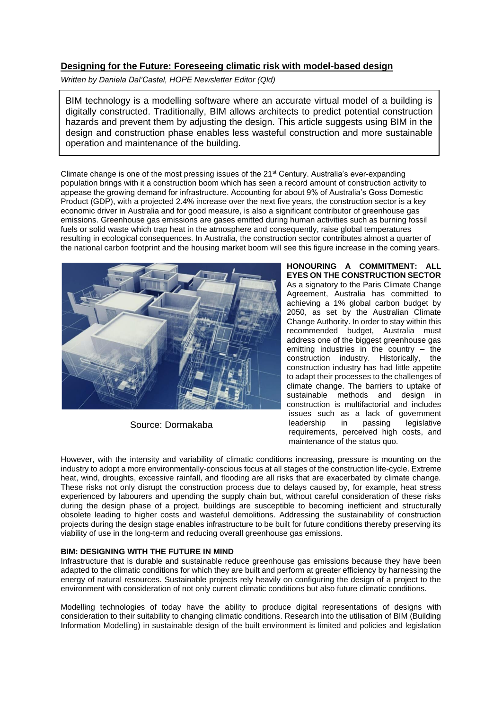# **Designing for the Future: Foreseeing climatic risk with model-based design**

*Written by Daniela Dal'Castel, HOPE Newsletter Editor (Qld)*

BIM technology is a modelling software where an accurate virtual model of a building is digitally constructed. Traditionally, BIM allows architects to predict potential construction hazards and prevent them by adjusting the design. This article suggests using BIM in the design and construction phase enables less wasteful construction and more sustainable operation and maintenance of the building.

Climate change is one of the most pressing issues of the 21st Century. Australia's ever-expanding population brings with it a construction boom which has seen a record amount of construction activity to appease the growing demand for infrastructure. Accounting for about 9% of Australia's Goss Domestic Product (GDP), with a projected 2.4% increase over the next five years, the construction sector is a key economic driver in Australia and for good measure, is also a significant contributor of greenhouse gas emissions. Greenhouse gas emissions are gases emitted during human activities such as burning fossil fuels or solid waste which trap heat in the atmosphere and consequently, raise global temperatures resulting in ecological consequences. In Australia, the construction sector contributes almost a quarter of the national carbon footprint and the housing market boom will see this figure increase in the coming years.



Source: Dormakaba

**HONOURING A COMMITMENT: ALL EYES ON THE CONSTRUCTION SECTOR** As a signatory to the Paris Climate Change Agreement, Australia has committed to achieving a 1% global carbon budget by 2050, as set by the Australian Climate Change Authority. In order to stay within this recommended budget, Australia must address one of the biggest greenhouse gas emitting industries in the country – the construction industry. Historically, the construction industry has had little appetite to adapt their processes to the challenges of climate change. The barriers to uptake of sustainable methods and design in construction is multifactorial and includes issues such as a lack of government<br>leadership in passing legislative leadership in passing requirements, perceived high costs, and maintenance of the status quo.

However, with the intensity and variability of climatic conditions increasing, pressure is mounting on the industry to adopt a more environmentally-conscious focus at all stages of the construction life-cycle. Extreme heat, wind, droughts, excessive rainfall, and flooding are all risks that are exacerbated by climate change. These risks not only disrupt the construction process due to delays caused by, for example, heat stress experienced by labourers and upending the supply chain but, without careful consideration of these risks during the design phase of a project, buildings are susceptible to becoming inefficient and structurally obsolete leading to higher costs and wasteful demolitions. Addressing the sustainability of construction projects during the design stage enables infrastructure to be built for future conditions thereby preserving its viability of use in the long-term and reducing overall greenhouse gas emissions.

## **BIM: DESIGNING WITH THE FUTURE IN MIND**

Infrastructure that is durable and sustainable reduce greenhouse gas emissions because they have been adapted to the climatic conditions for which they are built and perform at greater efficiency by harnessing the energy of natural resources. Sustainable projects rely heavily on configuring the design of a project to the environment with consideration of not only current climatic conditions but also future climatic conditions.

Modelling technologies of today have the ability to produce digital representations of designs with consideration to their suitability to changing climatic conditions. Research into the utilisation of BIM (Building Information Modelling) in sustainable design of the built environment is limited and policies and legislation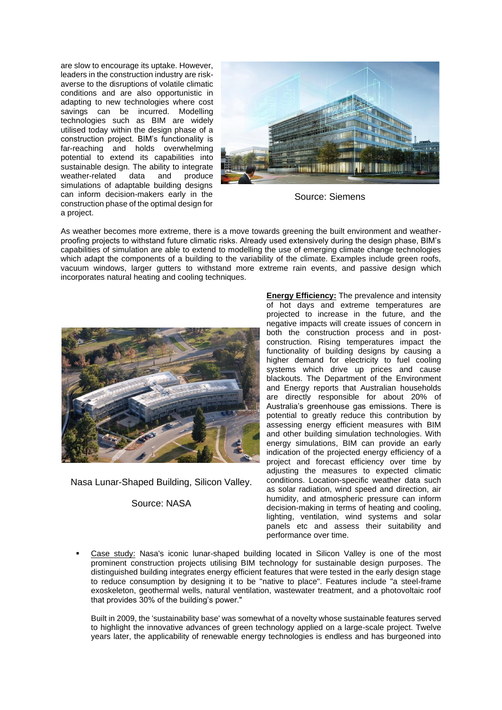are slow to encourage its uptake. However, leaders in the construction industry are riskaverse to the disruptions of volatile climatic conditions and are also opportunistic in adapting to new technologies where cost savings can be incurred. Modelling technologies such as BIM are widely utilised today within the design phase of a construction project. BIM's functionality is far-reaching and holds overwhelming potential to extend its capabilities into sustainable design. The ability to integrate<br>weather-related data and produce weather-related data and simulations of adaptable building designs can inform decision-makers early in the construction phase of the optimal design for a project.



Source: Siemens

As weather becomes more extreme, there is a move towards greening the built environment and weatherproofing projects to withstand future climatic risks. Already used extensively during the design phase, BIM's capabilities of simulation are able to extend to modelling the use of emerging climate change technologies which adapt the components of a building to the variability of the climate. Examples include green roofs, vacuum windows, larger gutters to withstand more extreme rain events, and passive design which incorporates natural heating and cooling techniques.



Nasa Lunar-Shaped Building, Silicon Valley.

## Source: NASA

**Energy Efficiency:** The prevalence and intensity of hot days and extreme temperatures are projected to increase in the future, and the negative impacts will create issues of concern in both the construction process and in postconstruction. Rising temperatures impact the functionality of building designs by causing a higher demand for electricity to fuel cooling systems which drive up prices and cause blackouts. The Department of the Environment and Energy reports that Australian households are directly responsible for about 20% of Australia's greenhouse gas emissions. There is potential to greatly reduce this contribution by assessing energy efficient measures with BIM and other building simulation technologies. With energy simulations, BIM can provide an early indication of the projected energy efficiency of a project and forecast efficiency over time by adjusting the measures to expected climatic conditions. Location-specific weather data such as solar radiation, wind speed and direction, air humidity, and atmospheric pressure can inform decision-making in terms of heating and cooling, lighting, ventilation, wind systems and solar panels etc and assess their suitability and performance over time.

Case study: Nasa's iconic lunar-shaped building located in Silicon Valley is one of the most prominent construction projects utilising BIM technology for sustainable design purposes. The distinguished building integrates energy efficient features that were tested in the early design stage to reduce consumption by designing it to be "native to place". Features include "a steel-frame exoskeleton, geothermal wells, natural ventilation, wastewater treatment, and a photovoltaic roof that provides 30% of the building's power."

Built in 2009, the 'sustainability base' was somewhat of a novelty whose sustainable features served to highlight the innovative advances of green technology applied on a large-scale project. Twelve years later, the applicability of renewable energy technologies is endless and has burgeoned into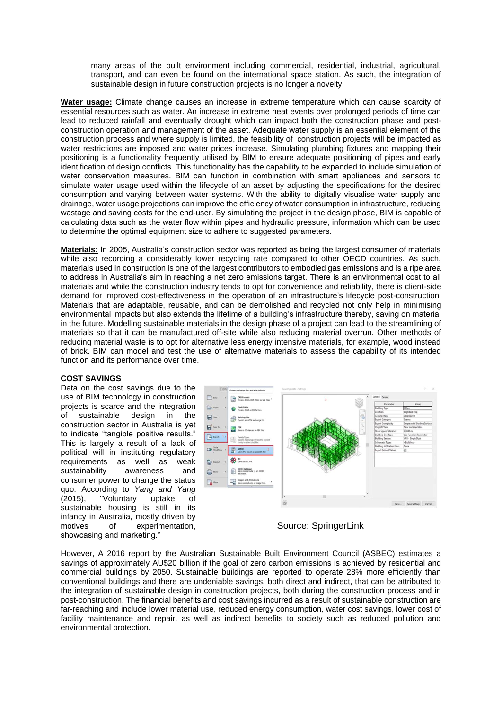many areas of the built environment including commercial, residential, industrial, agricultural, transport, and can even be found on the international space station. As such, the integration of sustainable design in future construction projects is no longer a novelty.

**Water usage:** Climate change causes an increase in extreme temperature which can cause scarcity of essential resources such as water. An increase in extreme heat events over prolonged periods of time can lead to reduced rainfall and eventually drought which can impact both the construction phase and postconstruction operation and management of the asset. Adequate water supply is an essential element of the construction process and where supply is limited, the feasibility of construction projects will be impacted as water restrictions are imposed and water prices increase. Simulating plumbing fixtures and mapping their positioning is a functionality frequently utilised by BIM to ensure adequate positioning of pipes and early identification of design conflicts. This functionality has the capability to be expanded to include simulation of water conservation measures. BIM can function in combination with smart appliances and sensors to simulate water usage used within the lifecycle of an asset by adjusting the specifications for the desired consumption and varying between water systems. With the ability to digitally visualise water supply and drainage, water usage projections can improve the efficiency of water consumption in infrastructure, reducing wastage and saving costs for the end-user. By simulating the project in the design phase, BIM is capable of calculating data such as the water flow within pipes and hydraulic pressure, information which can be used to determine the optimal equipment size to adhere to suggested parameters.

**Materials:** In 2005, Australia's construction sector was reported as being the largest consumer of materials while also recording a considerably lower recycling rate compared to other OECD countries. As such, materials used in construction is one of the largest contributors to embodied gas emissions and is a ripe area to address in Australia's aim in reaching a net zero emissions target. There is an environmental cost to all materials and while the construction industry tends to opt for convenience and reliability, there is client-side demand for improved cost-effectiveness in the operation of an infrastructure's lifecycle post-construction. Materials that are adaptable, reusable, and can be demolished and recycled not only help in minimising environmental impacts but also extends the lifetime of a building's infrastructure thereby, saving on material in the future. Modelling sustainable materials in the design phase of a project can lead to the streamlining of materials so that it can be manufactured off-site while also reducing material overrun. Other methods of reducing material waste is to opt for alternative less energy intensive materials, for example, wood instead of brick. BIM can model and test the use of alternative materials to assess the capability of its intended function and its performance over time.

#### **COST SAVINGS**

Data on the cost savings due to the use of BIM technology in construction projects is scarce and the integration of sustainable design in the construction sector in Australia is yet to indicate "tangible positive results." This is largely a result of a lack of political will in instituting regulatory requirements as well as weak sustainability awareness and consumer power to change the status quo. According to *Yang and Yang*  (2015), "Voluntary uptake of sustainable housing is still in its infancy in Australia, mostly driven by motives of experimentation, showcasing and marketing."



Source: SpringerLink

However, A 2016 report by the Australian Sustainable Built Environment Council (ASBEC) estimates a savings of approximately AU\$20 billion if the goal of zero carbon emissions is achieved by residential and commercial buildings by 2050. Sustainable buildings are reported to operate 28% more efficiently than conventional buildings and there are undeniable savings, both direct and indirect, that can be attributed to the integration of sustainable design in construction projects, both during the construction process and in post-construction. The financial benefits and cost savings incurred as a result of sustainable construction are far-reaching and include lower material use, reduced energy consumption, water cost savings, lower cost of facility maintenance and repair, as well as indirect benefits to society such as reduced pollution and environmental protection.